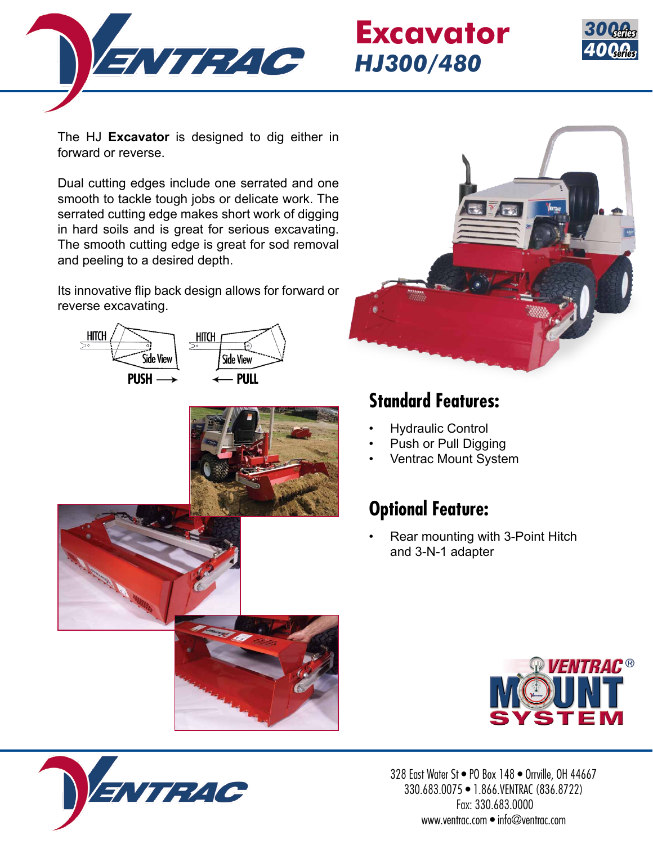

## **Excavator** *HJ300/480*



The HJ **Excavator** is designed to dig either in forward or reverse.

Dual cutting edges include one serrated and one smooth to tackle tough jobs or delicate work. The serrated cutting edge makes short work of digging in hard soils and is great for serious excavating. The smooth cutting edge is great for sod removal and peeling to a desired depth.

Its innovative flip back design allows for forward or reverse excavating.







## **Standard Features:**

- Hydraulic Control
- Push or Pull Digging
- Ventrac Mount System

## **Optional Feature:**

• Rear mounting with 3-Point Hitch and 3-N-1 adapter





328 East Water St · PO Box 148 · Orrville, OH 44667 330.683.0075 • 1.866.VENTRAC (836.8722) Fax: 330.683.0000 www.ventrac.com • info@ventrac.com